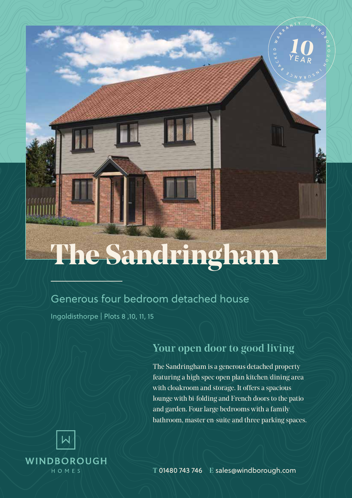# **The Sandringham**

### Generous four bedroom detached house

Ingoldisthorpe | Plots 8 ,10, 11, 15

# Your open door to good living

The Sandringham is a generous detached property featuring a high spec open plan kitchen/dining area with cloakroom and storage. It offers a spacious lounge with bi-folding and French doors to the patio and garden. Four large bedrooms with a family bathroom, master en-suite and three parking spaces.



T 01480 743 746 E sales@windborough.com